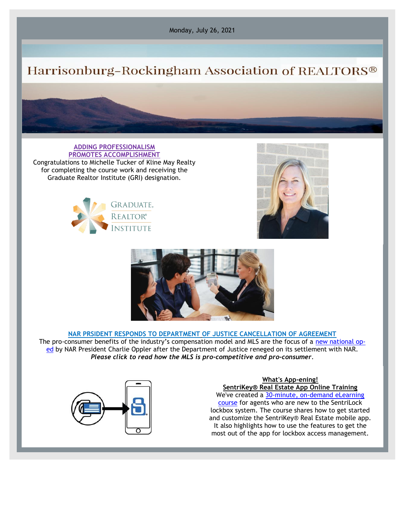Monday, July 26, 2021

## Harrisonburg-Rockingham Association of REALTORS®

**ADDING PROFESSIONALISM PROMOTES ACCOMPLISHMENT** Congratulations to Michelle Tucker of Kline May Realty for completing the course work and receiving the Graduate Realtor Institute (GRI) designation.







## **NAR PRSIDENT RESPONDS TO DEPARTMENT OF JUSTICE CANCELLATION OF AGREEMENT**

The pro-consumer benefits of the industry's compensation model and MLS are the focus of a [new national op](http://email.nar.realtor/c/11cibKc5ykH2LD6OSZE0voRYqm)[ed](http://email.nar.realtor/c/11cibKc5ykH2LD6OSZE0voRYqm) by NAR President Charlie Oppler after the Department of Justice reneged on its settlement with NAR. *Please click to read how the MLS is pro-competitive and pro-consumer*.



## **What's App-ening!**

**SentriKey® Real Estate App Online Training** We've created a [30-minute, on-demand eLearning](https://www.sentrilock.com/sentrilock-agent-orientation/?utm_campaign=The%20Open%20Door&utm_medium=email&_hsmi=142163750&_hsenc=p2ANqtz-9zJ9FmJLq95BoSrIIWCzCr6kDKKcFn1WX6uhSAj7XTXz_dmTcfnI8aPGQ-hmePmg_YmW3pX1QjiWZZEUvojTcb-pnhAw&utm_content=142163750&utm_source=hs_email)  [course](https://www.sentrilock.com/sentrilock-agent-orientation/?utm_campaign=The%20Open%20Door&utm_medium=email&_hsmi=142163750&_hsenc=p2ANqtz-9zJ9FmJLq95BoSrIIWCzCr6kDKKcFn1WX6uhSAj7XTXz_dmTcfnI8aPGQ-hmePmg_YmW3pX1QjiWZZEUvojTcb-pnhAw&utm_content=142163750&utm_source=hs_email) for agents who are new to the SentriLock lockbox system. The course shares how to get started and customize the SentriKey® Real Estate mobile app. It also highlights how to use the features to get the most out of the app for lockbox access management.